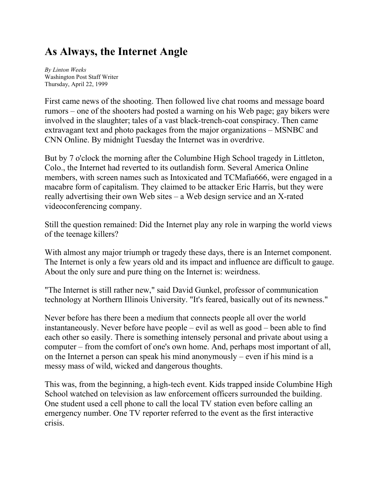## **As Always, the Internet Angle**

*By Linton Weeks* Washington Post Staff Writer Thursday, April 22, 1999

First came news of the shooting. Then followed live chat rooms and message board rumors – one of the shooters had posted a warning on his Web page; gay bikers were involved in the slaughter; tales of a vast black-trench-coat conspiracy. Then came extravagant text and photo packages from the major organizations – MSNBC and CNN Online. By midnight Tuesday the Internet was in overdrive.

But by 7 o'clock the morning after the Columbine High School tragedy in Littleton, Colo., the Internet had reverted to its outlandish form. Several America Online members, with screen names such as Intoxicated and TCMafia666, were engaged in a macabre form of capitalism. They claimed to be attacker Eric Harris, but they were really advertising their own Web sites – a Web design service and an X-rated videoconferencing company.

Still the question remained: Did the Internet play any role in warping the world views of the teenage killers?

With almost any major triumph or tragedy these days, there is an Internet component. The Internet is only a few years old and its impact and influence are difficult to gauge. About the only sure and pure thing on the Internet is: weirdness.

"The Internet is still rather new," said David Gunkel, professor of communication technology at Northern Illinois University. "It's feared, basically out of its newness."

Never before has there been a medium that connects people all over the world instantaneously. Never before have people – evil as well as good – been able to find each other so easily. There is something intensely personal and private about using a computer – from the comfort of one's own home. And, perhaps most important of all, on the Internet a person can speak his mind anonymously – even if his mind is a messy mass of wild, wicked and dangerous thoughts.

This was, from the beginning, a high-tech event. Kids trapped inside Columbine High School watched on television as law enforcement officers surrounded the building. One student used a cell phone to call the local TV station even before calling an emergency number. One TV reporter referred to the event as the first interactive crisis.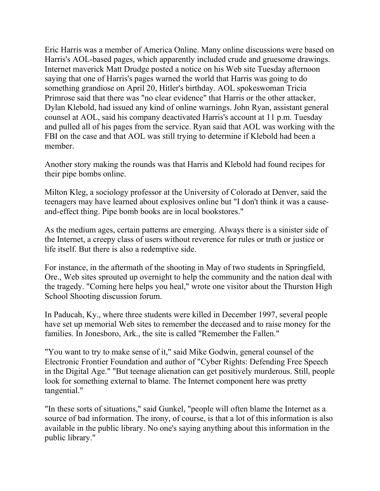Eric Harris was a member of America Online. Many online discussions were based on Harris's AOL-based pages, which apparently included crude and gruesome drawings. Internet maverick Matt Drudge posted a notice on his Web site Tuesday afternoon saying that one of Harris's pages warned the world that Harris was going to do something grandiose on April 20, Hitler's birthday. AOL spokeswoman Tricia Primrose said that there was "no clear evidence" that Harris or the other attacker, Dylan Klebold, had issued any kind of online warnings. John Ryan, assistant general counsel at AOL, said his company deactivated Harris's account at 11 p.m. Tuesday and pulled all of his pages from the service. Ryan said that AOL was working with the FBI on the case and that AOL was still trying to determine if Klebold had been a member.

Another story making the rounds was that Harris and Klebold had found recipes for their pipe bombs online.

Milton Kleg, a sociology professor at the University of Colorado at Denver, said the teenagers may have learned about explosives online but "I don't think it was a causeand-effect thing. Pipe bomb books are in local bookstores."

As the medium ages, certain patterns are emerging. Always there is a sinister side of the Internet, a creepy class of users without reverence for rules or truth or justice or life itself. But there is also a redemptive side.

For instance, in the aftermath of the shooting in May of two students in Springfield, Ore., Web sites sprouted up overnight to help the community and the nation deal with the tragedy. "Coming here helps you heal," wrote one visitor about the Thurston High School Shooting discussion forum.

In Paducah, Ky., where three students were killed in December 1997, several people have set up memorial Web sites to remember the deceased and to raise money for the families. In Jonesboro, Ark., the site is called "Remember the Fallen."

"You want to try to make sense of it," said Mike Godwin, general counsel of the Electronic Frontier Foundation and author of "Cyber Rights: Defending Free Speech in the Digital Age." "But teenage alienation can get positively murderous. Still, people look for something external to blame. The Internet component here was pretty tangential."

"In these sorts of situations," said Gunkel, "people will often blame the Internet as a source of bad information. The irony, of course, is that a lot of this information is also available in the public library. No one's saying anything about this information in the public library."